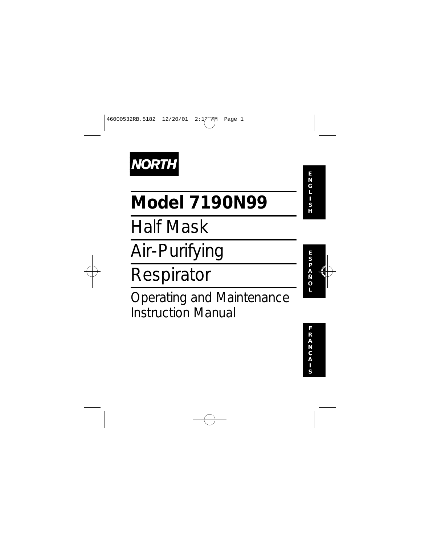# **NORTH**

# **Model 7190N99**

Half Mask

Air-Purifying

Respirator

Operating and Maintenance **Instruction Manual** 



**E S P**

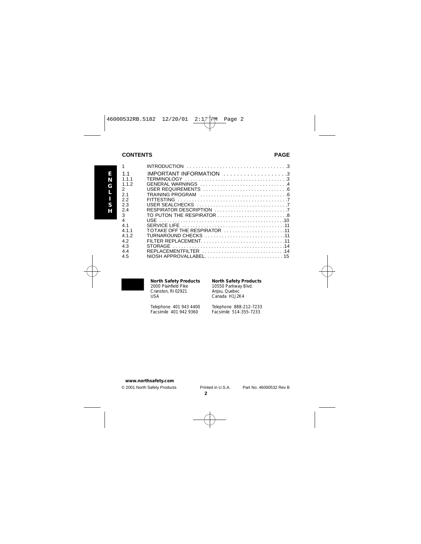# **CONTENTS PAGE**

**E N G L I S H**

| 1     |                              |
|-------|------------------------------|
| 1.1   | IMPORTANT INFORMATION 3      |
| 111   |                              |
| 1.1.2 | GENERAL WARNINGS 4           |
| 2     |                              |
| 2.1   |                              |
| 2.2   |                              |
| 2.3   |                              |
| 2.4   |                              |
| 3     | TO PUTON THE RESPIRATOR 8    |
| 4     |                              |
| 41    |                              |
| 411   | TOTAKE OFF THE RESPIRATOR 11 |
| 412   | TURNAROUND CHECKS 11         |
| 4.2   |                              |
| 4.3   |                              |
| 44    | REPLACEMENTFILTER 14         |
| 45    |                              |
|       |                              |



| <b>North Safety Products</b> |
|------------------------------|
| 2000 Plainfield Pike         |
| Cranston, RI 02921           |
| USA                          |

**North Safety Products**<br>10550 Parkway Blvd.<br>Anjou, Quebec<br>Canada H1J2K4

Telephone 401 943 4400 Facsimile 401 942 9360

Telephone 888-212-7233 Facsimile 514-355-7233

**www.northsafety.com**

© 2001 North Safety Products Printed in U.S.A. Part No. 46000532 Rev B



**2**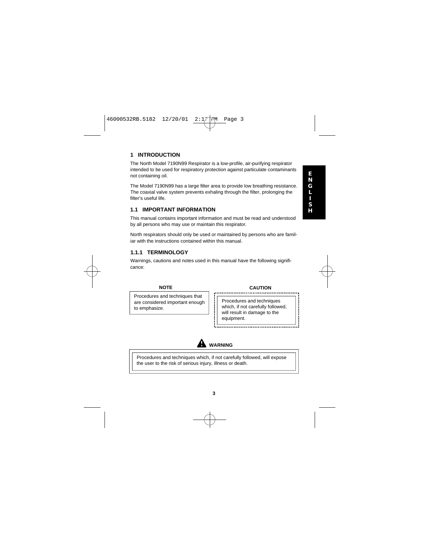# **1 INTRODUCTION**

The North Model 7190N99 Respirator is a low-profile, air-purifying respirator intended to be used for respiratory protection against particulate contaminants not containing oil.

The Model 7190N99 has a large filter area to provide low breathing resistance. The coaxial valve system prevents exhaling through the filter, prolonging the filter's useful life.

# **1.1 IMPORTANT INFORMATION**

This manual contains important information and must be read and understood by all persons who may use or maintain this respirator.

North respirators should only be used or maintained by persons who are familiar with the instructions contained within this manual.

# **1.1.1 TERMINOLOGY**

Warnings, cautions and notes used in this manual have the following significance:

to emphasize.

# **NOTE CAUTION**

Procedures and techniques that Procedures and techniques are considered important enough which, if not carefully followed, j will result in damage to the equipment.



Procedures and techniques which, if not carefully followed, will expose the user to the risk of serious injury, illness or death.







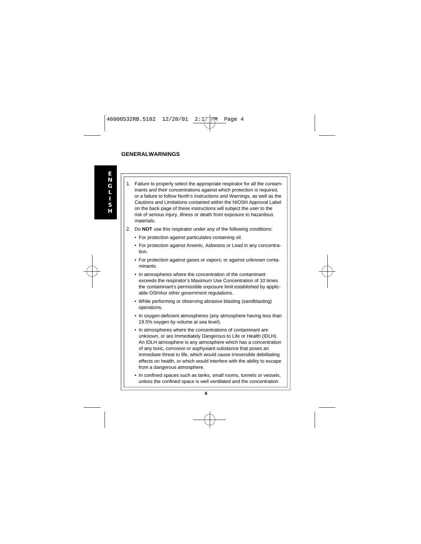# **GENERALWARNINGS**

- 1. Failure to properly select the appropriate respirator for all the contaminants and their concentrations against which protection is required, or a failure to follow North's instructions and Warnings, as well as the Cautions and Limitations contained within the NIOSH Approval Label on the back page of these instructions will subject the user to the risk of serious injury, illness or death from exposure to hazardous materials.
- 2. Do **NOT** use this respirator under any of the following conditions: • For protection against particulates containing oil.
	- For protection against Arsenic, Asbestos or Lead in any concentration.
	- For protection against gases or vapors; or against unknown contaminants.
	- In atmospheres where the concentration of the contaminant exceeds the respirator's Maximum Use Concentration of 10 times the contaminant's permissible exposure limit established by applicable OSHAor other government regulations.
	- While performing or observing abrasive blasting (sandblasting) operations.
	- In oxygen-deficient atmospheres (any atmosphere having less than 19.5% oxygen by volume at sea level).
	- In atmospheres where the concentrations of contaminant are unknown, or are Immediately Dangerous to Life or Health (IDLH). An IDLH atmosphere is any atmosphere which has a concentration of any toxic, corrosive or asphyxiant substance that poses an immediate threat to life, which would cause irreversible debilitating effects on health, or which would interfere with the ability to escape from a dangerous atmosphere.
	- In confined spaces such as tanks, small rooms, tunnels or vessels, unless the confined space is well ventilated and the concentration



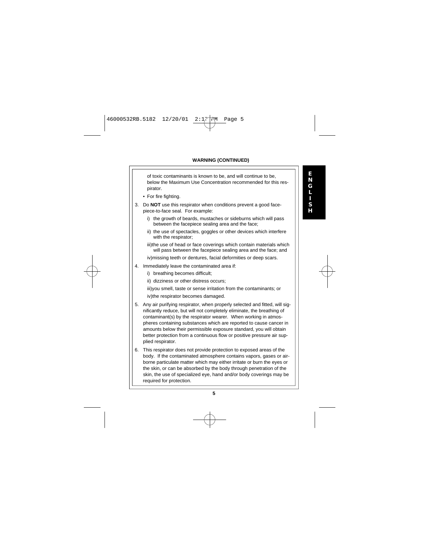# **WARNING (CONTINUED)**

of toxic contaminants is known to be, and will continue to be, below the Maximum Use Concentration recommended for this respirator.

- For fire fighting.
- 3. Do **NOT** use this respirator when conditions prevent a good facepiece-to-face seal. For example:
	- i) the growth of beards, mustaches or sideburns which will pass between the facepiece sealing area and the face;
	- ii) the use of spectacles, goggles or other devices which interfere with the respirator;
	- iii)the use of head or face coverings which contain materials which will pass between the facepiece sealing area and the face; and
	- iv)missing teeth or dentures, facial deformities or deep scars.
- 4. Immediately leave the contaminated area if:
	- i) breathing becomes difficult;
	- ii) dizziness or other distress occurs;

iii)you smell, taste or sense irritation from the contaminants; or iv)the respirator becomes damaged.

- 5. Any air purifying respirator, when properly selected and fitted, will significantly reduce, but will not completely eliminate, the breathing of contaminant(s) by the respirator wearer. When working in atmospheres containing substances which are reported to cause cancer in amounts below their permissible exposure standard, you will obtain better protection from a continuous flow or positive pressure air supplied respirator.
- 6. This respirator does not provide protection to exposed areas of the body. If the contaminated atmosphere contains vapors, gases or airborne particulate matter which may either irritate or burn the eyes or the skin, or can be absorbed by the body through penetration of the skin, the use of specialized eye, hand and/or body coverings may be required for protection.



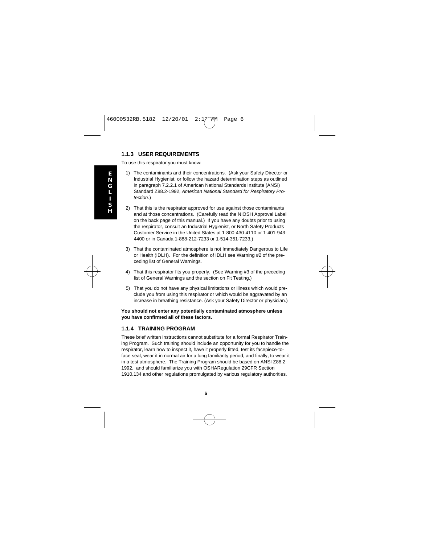# **1.1.3 USER REQUIREMENTS**

To use this respirator you must know:

- 1) The contaminants and their concentrations. (Ask your Safety Director or Industrial Hygienist, or follow the hazard determination steps as outlined in paragraph 7.2.2.1 of American National Standards Institute (ANSI) Standard Z88.2-1992, *American National Standard for Respiratory Protection*.)
- 2) That this is the respirator approved for use against those contaminants and at those concentrations. (Carefully read the NIOSH Approval Label on the back page of this manual.) If you have any doubts prior to using the respirator, consult an Industrial Hygienist, or North Safety Products Customer Service in the United States at 1-800-430-4110 or 1-401-943- 4400 or in Canada 1-888-212-7233 or 1-514-351-7233.)
- 3) That the contaminated atmosphere is not Immediately Dangerous to Life or Health (IDLH). For the definition of IDLH see Warning #2 of the preceding list of General Warnings.
- 4) That this respirator fits you properly. (See Warning #3 of the preceding list of General Warnings and the section on Fit Testing.)
- 5) That you do not have any physical limitations or illness which would preclude you from using this respirator or which would be aggravated by an increase in breathing resistance. (Ask your Safety Director or physician.)

### **You should not enter any potentially contaminated atmosphere unless you have confirmed all of these factors.**

# **1.1.4 TRAINING PROGRAM**

These brief written instructions cannot substitute for a formal Respirator Training Program. Such training should include an opportunity for you to handle the respirator, learn how to inspect it, have it properly fitted, test its facepiece-toface seal, wear it in normal air for a long familiarity period, and finally, to wear it in a test atmosphere. The Training Program should be based on ANSI Z88.2- 1992, and should familiarize you with OSHARegulation 29CFR Section 1910.134 and other regulations promulgated by various regulatory authorities.



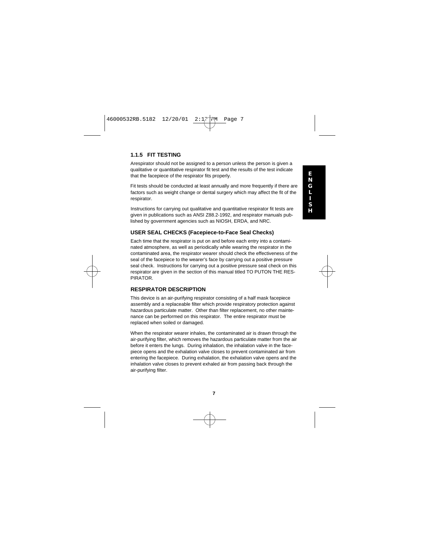# **1.1.5 FIT TESTING**

Arespirator should not be assigned to a person unless the person is given a qualitative or quantitative respirator fit test and the results of the test indicate that the facepiece of the respirator fits properly.

Fit tests should be conducted at least annually and more frequently if there are factors such as weight change or dental surgery which may affect the fit of the respirator.

Instructions for carrying out qualitative and quantitative respirator fit tests are given in publications such as ANSI Z88.2-1992, and respirator manuals published by government agencies such as NIOSH, ERDA, and NRC.

### **USER SEAL CHECKS (Facepiece-to-Face Seal Checks)**

Each time that the respirator is put on and before each entry into a contaminated atmosphere, as well as periodically while wearing the respirator in the contaminated area, the respirator wearer should check the effectiveness of the seal of the facepiece to the wearer's face by carrying out a positive pressure seal check. Instructions for carrying out a positive pressure seal check on this respirator are given in the section of this manual titled TO PUTON THE RES-PIRATOR.

# **RESPIRATOR DESCRIPTION**

This device is an air-purifying respirator consisting of a half mask facepiece assembly and a replaceable filter which provide respiratory protection against hazardous particulate matter. Other than filter replacement, no other maintenance can be performed on this respirator. The entire respirator must be replaced when soiled or damaged.

When the respirator wearer inhales, the contaminated air is drawn through the air-purifying filter, which removes the hazardous particulate matter from the air before it enters the lungs. During inhalation, the inhalation valve in the facepiece opens and the exhalation valve closes to prevent contaminated air from entering the facepiece. During exhalation, the exhalation valve opens and the inhalation valve closes to prevent exhaled air from passing back through the air-purifying filter.







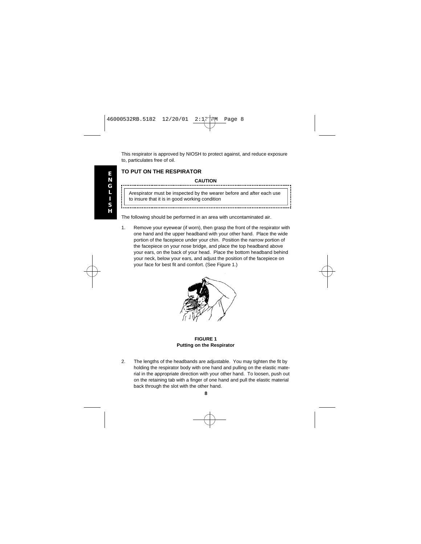This respirator is approved by NIOSH to protect against, and reduce exposure to, particulates free of oil.

# **TO PUT ON THE RESPIRATOR**

**E N G L I S H**

j

**CAUTION**<br>————————————————————

Arespirator must be inspected by the wearer before and after each use to insure that it is in good working condition

L.

The following should be performed in an area with uncontaminated air.

1. Remove your eyewear (if worn), then grasp the front of the respirator with one hand and the upper headband with your other hand. Place the wide portion of the facepiece under your chin. Position the narrow portion of the facepiece on your nose bridge, and place the top headband above your ears, on the back of your head. Place the bottom headband behind your neck, below your ears, and adjust the position of the facepiece on your face for best fit and comfort. (See Figure 1.)



**FIGURE 1 Putting on the Respirator**

2. The lengths of the headbands are adjustable. You may tighten the fit by holding the respirator body with one hand and pulling on the elastic material in the appropriate direction with your other hand. To loosen, push out on the retaining tab with a finger of one hand and pull the elastic material back through the slot with the other hand.



**8**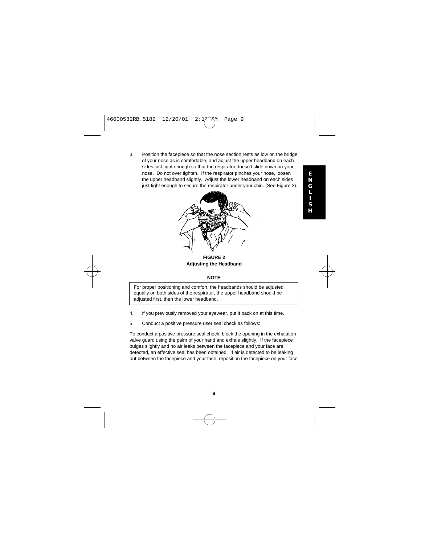3. Position the facepiece so that the nose section rests as low on the bridge of your nose as is comfortable, and adjust the upper headband on each sides just tight enough so that the respirator doesn't slide down on your nose. Do not over tighten. If the respirator pinches your nose, loosen the upper headband slightly. Adjust the lower headband on each sides just tight enough to secure the respirator under your chin. (See Figure 2).



**FIGURE 2 Adjusting the Headband**

### **NOTE**

For proper positioning and comfort, the headbands should be adjusted equally on both sides of the respirator, the upper headband should be adjusted first, then the lower headband.

4. If you previously removed your eyewear, put it back on at this time.

5. Conduct a positive pressure user seal check as follows:

To conduct a positive pressure seal check, block the opening in the exhalation valve guard using the palm of your hand and exhale slightly. If the facepiece bulges slightly and no air leaks between the facepiece and your face are detected, an effective seal has been obtained. If air is detected to be leaking out between the facepiece and your face, reposition the facepiece on your face





### **E N G L I S**

**H**

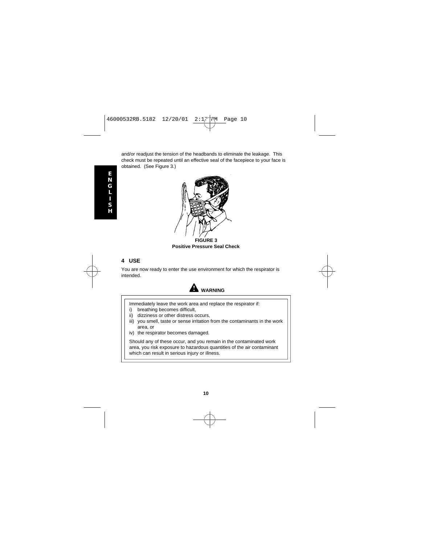and/or readjust the tension of the headbands to eliminate the leakage. This check must be repeated until an effective seal of the facepiece to your face is obtained. (See Figure 3.)





**Positive Pressure Seal Check**

# **4 USE**

You are now ready to enter the use environment for which the respirator is intended.



- Immediately leave the work area and replace the respirator if:
- i) breathing becomes difficult,
- ii) dizziness or other distress occurs,
- iii) you smell, taste or sense irritation from the contaminants in the work area, or
- iv) the respirator becomes damaged.

Should any of these occur, and you remain in the contaminated work area, you risk exposure to hazardous quantities of the air contaminant which can result in serious injury or illness.



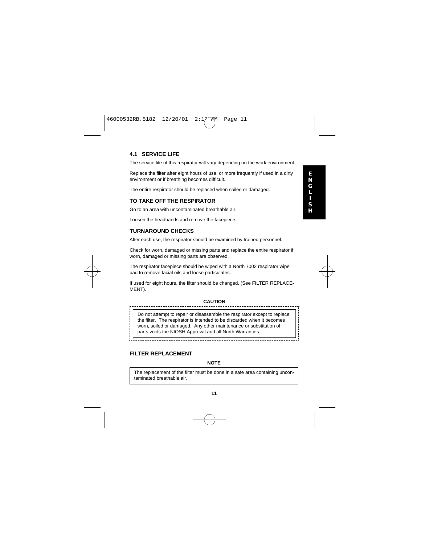# **4.1 SERVICE LIFE**

The service life of this respirator will vary depending on the work environment.

Replace the filter after eight hours of use, or more frequently if used in a dirty environment or if breathing becomes difficult.

The entire respirator should be replaced when soiled or damaged.

# **TO TAKE OFF THE RESPIRATOR**

Go to an area with uncontaminated breathable air.

Loosen the headbands and remove the facepiece.

# **TURNAROUND CHECKS**

After each use, the respirator should be examined by trained personnel.

Check for worn, damaged or missing parts and replace the entire respirator if worn, damaged or missing parts are observed.

The respirator facepiece should be wiped with a North 7002 respirator wipe pad to remove facial oils and loose particulates.

If used for eight hours, the filter should be changed. (See FILTER REPLACE-MENT).

# **CAUTION**

Do not attempt to repair or disassemble the respirator except to replace the filter. The respirator is intended to be discarded when it becomes worn, soiled or damaged. Any other maintenance or substitution of parts voids the NIOSH Approval and all North Warranties.

# **FILTER REPLACEMENT**

ļ

l.

# **NOTE**

The replacement of the filter must be done in a safe area containing uncontaminated breathable air.







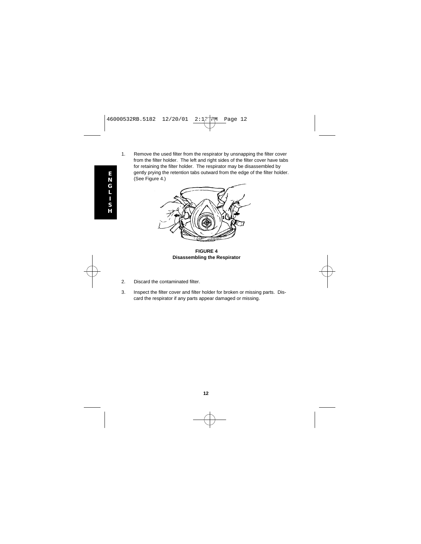1. Remove the used filter from the respirator by unsnapping the filter cover from the filter holder. The left and right sides of the filter cover have tabs for retaining the filter holder. The respirator may be disassembled by gently prying the retention tabs outward from the edge of the filter holder. See Figure 4.)



**FIGURE 4 Disassembling the Respirator**

2. Discard the contaminated filter.

**E N G L I S H**

> 3. Inspect the filter cover and filter holder for broken or missing parts. Discard the respirator if any parts appear damaged or missing.



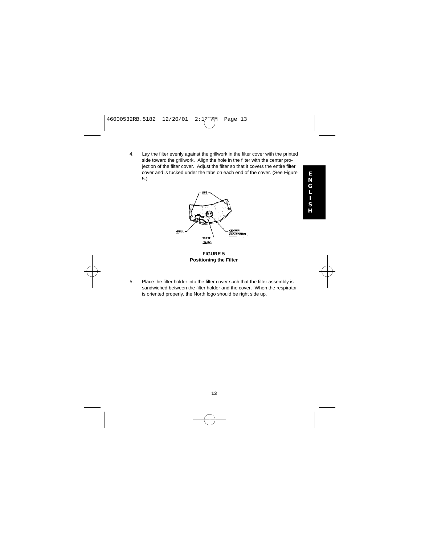4. Lay the filter evenly against the grillwork in the filter cover with the printed side toward the grillwork. Align the hole in the filter with the center projection of the filter cover. Adjust the filter so that it covers the entire filter cover and is tucked under the tabs on each end of the cover. (See Figure 5.)



**E N G L I S H**



5. Place the filter holder into the filter cover such that the filter assembly is sandwiched between the filter holder and the cover. When the respirator is oriented properly, the North logo should be right side up.

**Positioning the Filter**



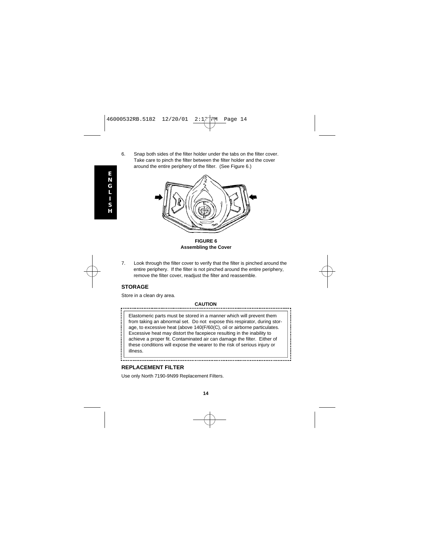6. Snap both sides of the filter holder under the tabs on the filter cover. Take care to pinch the filter between the filter holder and the cover around the entire periphery of the filter. (See Figure 6.)





**FIGURE 6 Assembling the Cover**

7. Look through the filter cover to verify that the filter is pinched around the entire periphery. If the filter is not pinched around the entire periphery, remove the filter cover, readjust the filter and reassemble.



# **STORAGE**

Store in a clean dry area.

# **CAUTION**

į

Elastomeric parts must be stored in a manner which will prevent them from taking an abnormal set. Do not expose this respirator, during storage, to excessive heat (above 140(F/60(C), oil or airborne particulates. Excessive heat may distort the facepiece resulting in the inability to achieve a proper fit. Contaminated air can damage the filter. Either of these conditions will expose the wearer to the risk of serious injury or illness.

# **REPLACEMENT FILTER**

Use only North 7190-9N99 Replacement Filters.



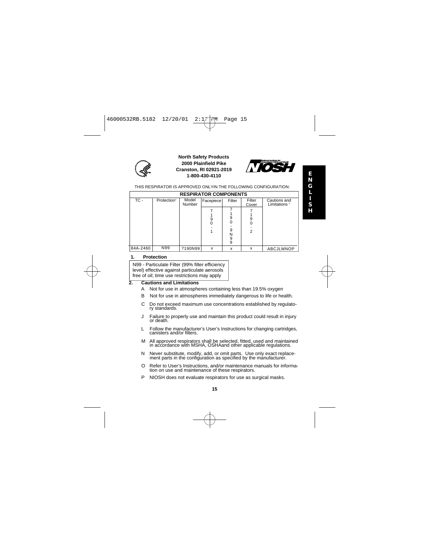

**North Safety Products 2000 Plainfield Pike Cranston, RI 02921-2019 1-800-430-4110**



**E N G L I S H**

THIS RESPIRATOR IS APPROVED ONLYIN THE FOLLOWING CONFIGURATION:

| <b>RESPIRATOR COMPONENTS</b> |                         |                 |           |                       |                 |                                  |  |
|------------------------------|-------------------------|-----------------|-----------|-----------------------|-----------------|----------------------------------|--|
| TC-                          | Protection <sup>1</sup> | Model<br>Number | Facepiece | Filter                | Filter<br>Cover | Cautions and<br>Limitations $^2$ |  |
|                              |                         |                 | 9         | 9<br>9<br>Ν<br>9<br>9 | 2               |                                  |  |
| 84A-2460                     | N99                     | 7190N99         | x         | X                     | x               | ABCJLMNOP                        |  |

### **1. Protection**

N99 - Particulate Filter (99% filter efficiency level) effective against particulate aerosols free of oil; time use restrictions may apply

**2. Cautions and Limitations**

- A Not for use in atmospheres containing less than 19.5% oxygen
- B Not for use in atmospheres immediately dangerous to life or health.
- C Do not exceed maximum use concentrations established by regulato-ry standards.
- J Failure to properly use and maintain this product could result in injury or death.
- L Follow the manufacturer's User's Instructions for changing cartridges, canisters and/or filters.
- M All approved respirators shall be selected, fitted, used and maintained in accordance with MSHA, OSHAand other applicable regulations.
- N Never substitute, modify, add, or omit parts. Use only exact replace-ment parts in the configuration as specified by the manufacturer.
- O Refer to User's Instructions, and/or maintenance manuals for informa-tion on use and maintenance of these respirators.
- P NIOSH does not evaluate respirators for use as surgical masks.



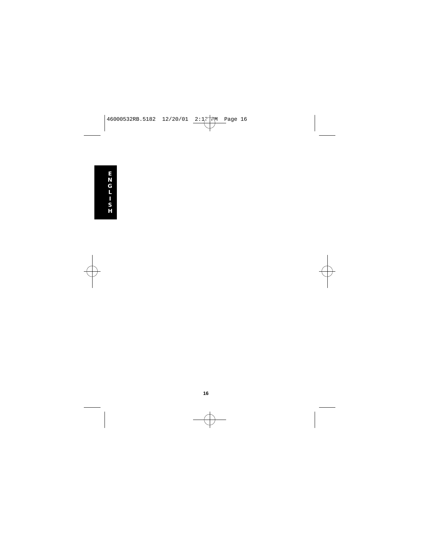





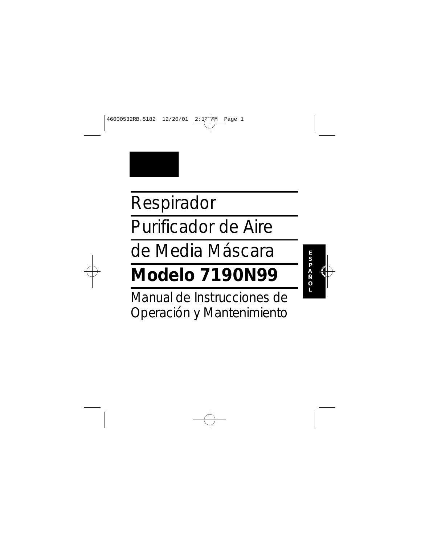

# Respirador

Purificador de Aire

de Media Máscara



# **Modelo 7190N99**



Manual de Instrucciones de Operación y Mantenimiento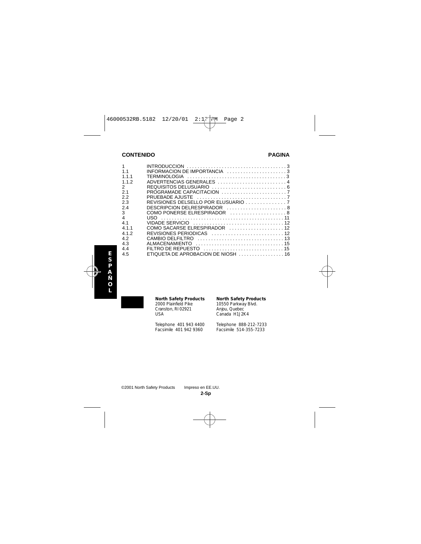# **CONTENIDO PAGINA**



# **North Safety Products** 2000 Plainfield Pike Cranston, RI 02921 USA

# **North Safety Products**<br>10550 Parkway Blvd.<br>Anjou, Quebec<br>Canada H1J2K4

Telephone 401 943 4400 Facsimile 401 942 9360

Telephone 888-212-7233 Facsimile 514-355-7233

©2001 North Safety Products Impreso en EE.UU.

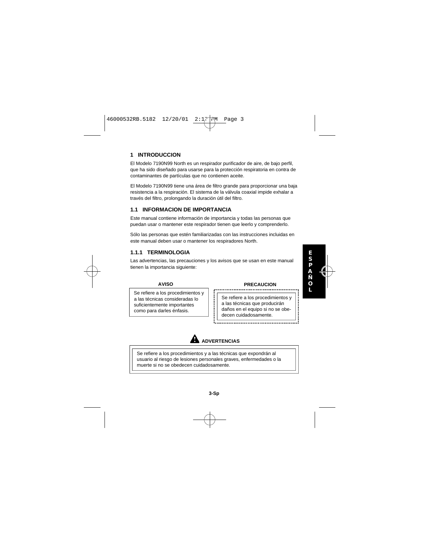# **1 INTRODUCCION**

El Modelo 7190N99 North es un respirador purificador de aire, de bajo perfil, que ha sido diseñado para usarse para la protección respiratoria en contra de contaminantes de partículas que no contienen aceite.

El Modelo 7190N99 tiene una área de filtro grande para proporcionar una baja resistencia a la respiración. El sistema de la válvula coaxial impide exhalar a través del filtro, prolongando la duración útil del filtro.

### **1.1 INFORMACION DE IMPORTANCIA**

Este manual contiene información de importancia y todas las personas que puedan usar o mantener este respirador tienen que leerlo y comprenderlo.

Sólo las personas que estén familiarizadas con las instrucciones incluidas en este manual deben usar o mantener los respiradores North.

# **1.1.1 TERMINOLOGIA**

Las advertencias, las precauciones y los avisos que se usan en este manual tienen la importancia siguiente:

# **E S P A Ñ O L**

# **AVISO PRECAUCION**

Se refiere a los procedimientos y a las técnicas consideradas lo suficientemente importantes como para darles énfasis.

Se refiere a los procedimientos y a las técnicas que producirán daños en el equipo si no se obedecen cuidadosamente. 



ъā

Se refiere a los procedimientos y a las técnicas que expondrán al usuario al riesgo de lesiones personales graves, enfermedades o la muerte si no se obedecen cuidadosamente.



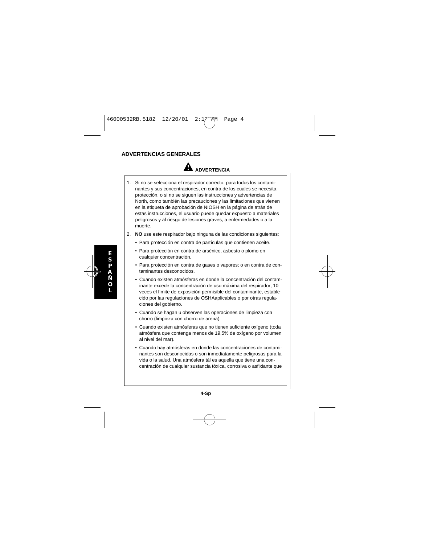# **ADVERTENCIAS GENERALES**

# **ADVERTENCIA**

- 1. Si no se selecciona el respirador correcto, para todos los contaminantes y sus concentraciones, en contra de los cuales se necesita protección, o si no se siguen las instrucciones y advertencias de North, como también las precauciones y las limitaciones que vienen en la etiqueta de aprobación de NIOSH en la página de atrás de estas instrucciones, el usuario puede quedar expuesto a materiales peligrosos y al riesgo de lesiones graves, a enfermedades o a la muerte.
- 2. **NO** use este respirador bajo ninguna de las condiciones siguientes:
	- Para protección en contra de partículas que contienen aceite.
	- Para protección en contra de arsénico, asbesto o plomo en cualquier concentración.
	- Para protección en contra de gases o vapores; o en contra de contaminantes desconocidos.
	- Cuando existen atmósferas en donde la concentración del contaminante excede la concentración de uso máxima del respirador, 10 veces el límite de exposición permisible del contaminante, establecido por las regulaciones de OSHAaplicables o por otras regulaciones del gobierno.
	- Cuando se hagan u observen las operaciones de limpieza con chorro (limpieza con chorro de arena).
	- Cuando existen atmósferas que no tienen suficiente oxígeno (toda atmósfera que contenga menos de 19,5% de oxígeno por volumen al nivel del mar).
	- Cuando hay atmósferas en donde las concentraciones de contaminantes son desconocidas o son inmediatamente peligrosas para la vida o la salud. Una atmósfera tál es aquella que tiene una concentración de cualquier sustancia tóxica, corrosiva o asfixiante que





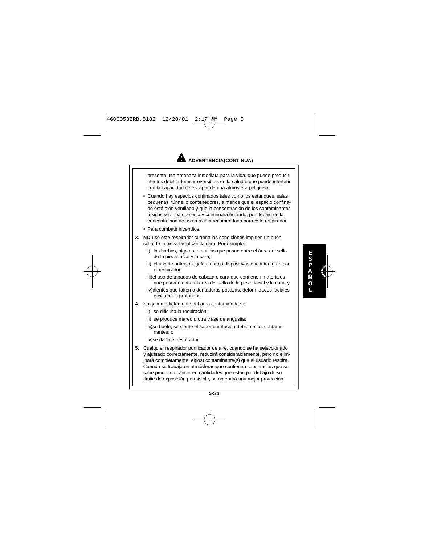# **ADVERTENCIA(CONTINUA)**

presenta una amenaza inmediata para la vida, que puede producir efectos debilitadores irreversibles en la salud o que puede interferir con la capacidad de escapar de una atmósfera peligrosa.

- Cuando hay espacios confinados tales como los estanques, salas pequeñas, túnnel o contenedores, a menos que el espacio confinado esté bien ventilado y que la concentración de los contaminantes tóxicos se sepa que está y continuará estando, por debajo de la concentración de uso máxima recomendada para este respirador.
- Para combatir incendios.
- 3. **NO** use este respirador cuando las condiciones impiden un buen sello de la pieza facial con la cara. Por ejemplo:
	- i) las barbas, bigotes, o patillas que pasan entre el área del sello de la pieza facial y la cara;
	- ii) el uso de anteojos, gafas u otros dispositivos que interfieran con el respirador;

iii)el uso de tapados de cabeza o cara que contienen materiales que pasarán entre el área del sello de la pieza facial y la cara; y

iv)dientes que falten o dentaduras postizas, deformidades faciales o cicatrices profundas.

- 4. Salga inmediatamente del área contaminada si:
	- i) se dificulta la respiración;
	- ii) se produce mareo u otra clase de angustia;
	- iii)se huele, se siente el sabor o irritación debido a los contaminantes; o
	- iv)se daña el respirador
- 5. Cualquier respirador purificador de aire, cuando se ha seleccionado y ajustado correctamente, reducirá considerablemente, pero no eliminará completamente, el(los) contaminante(s) que el usuario respira. Cuando se trabaja en atmósferas que contienen substancias que se sabe producen cáncer en cantidades que están por debajo de su límite de exposición permisible, se obtendrá una mejor protección





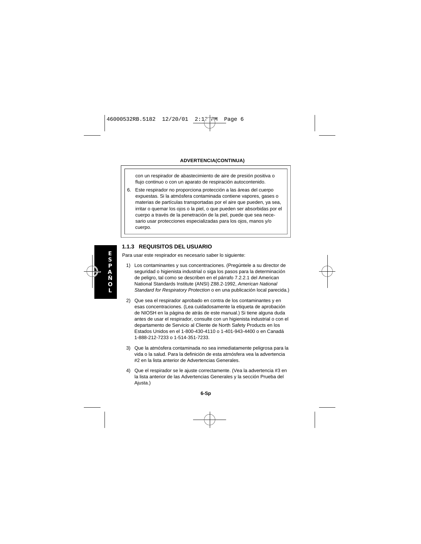### **ADVERTENCIA(CONTINUA)**

con un respirador de abastecimiento de aire de presión positiva o flujo continuo o con un aparato de respiración autocontenido.

6. Este respirador no proporciona protección a las áreas del cuerpo expuestas. Si la atmósfera contaminada contiene vapores, gases o materias de partículas transportadas por el aire que pueden, ya sea, irritar o quemar los ojos o la piel, o que pueden ser absorbidas por el cuerpo a través de la penetración de la piel, puede que sea necesario usar protecciones especializadas para los ojos, manos y/o cuerpo.



# **1.1.3 REQUISITOS DEL USUARIO**

Para usar este respirador es necesario saber lo siguiente:

- 1) Los contaminantes y sus concentraciones. (Pregúntele a su director de seguridad o higienista industrial o siga los pasos para la determinación de peligro, tal como se describen en el párrafo 7.2.2.1 del American National Standards Institute (ANSI) Z88.2-1992, *American National Standard for Respiratory Protection* o en una publicación local parecida.)
- 2) Que sea el respirador aprobado en contra de los contaminantes y en esas concentraciones. (Lea cuidadosamente la etiqueta de aprobación de NIOSH en la página de atrás de este manual.) Si tiene alguna duda antes de usar el respirador, consulte con un higienista industrial o con el departamento de Servicio al Cliente de North Safety Products en los Estados Unidos en el 1-800-430-4110 o 1-401-943-4400 o en Canadá 1-888-212-7233 o 1-514-351-7233.
- 3) Que la atmósfera contaminada no sea inmediatamente peligrosa para la vida o la salud. Para la definición de esta atmósfera vea la advertencia #2 en la lista anterior de Advertencias Generales.
- 4) Que el respirador se le ajuste correctamente. (Vea la advertencia #3 en la lista anterior de las Advertencias Generales y la sección Prueba del Ajusta.)



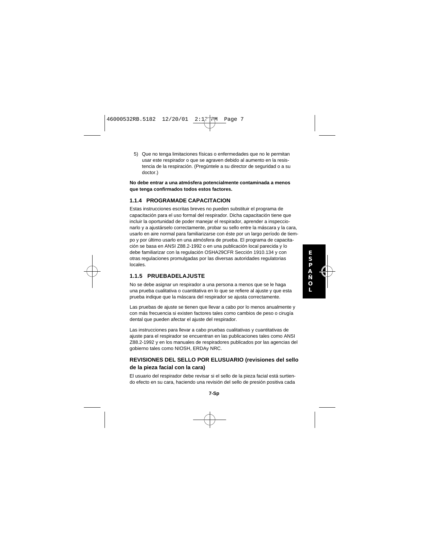5) Que no tenga limitaciones físicas o enfermedades que no le permitan usar este respirador o que se agraven debido al aumento en la resistencia de la respiración. (Pregúntele a su director de seguridad o a su doctor.)

**No debe entrar a una atmósfera potencialmente contaminada a menos que tenga confirmados todos estos factores.**

# **1.1.4 PROGRAMADE CAPACITACION**

Estas instrucciones escritas breves no pueden substituir el programa de capacitación para el uso formal del respirador. Dicha capacitación tiene que incluir la oportunidad de poder manejar el respirador, aprender a inspeccionarlo y a ajustárselo correctamente, probar su sello entre la máscara y la cara, usarlo en aire normal para familiarizarse con éste por un largo período de tiempo y por último usarlo en una atmósfera de prueba. El programa de capacitación se basa en ANSI Z88.2-1992 o en una publicación local parecida y lo debe familiarizar con la regulación OSHA29CFR Sección 1910.134 y con otras regulaciones promulgadas por las diversas autoridades regulatorias locales.



# **1.1.5 PRUEBADELAJUSTE**

No se debe asignar un respirador a una persona a menos que se le haga una prueba cualitativa o cuantitativa en lo que se refiere al ajuste y que esta prueba indique que la máscara del respirador se ajusta correctamente.

Las pruebas de ajuste se tienen que llevar a cabo por lo menos anualmente y con más frecuencia si existen factores tales como cambios de peso o cirugía dental que pueden afectar el ajuste del respirador.

Las instrucciones para llevar a cabo pruebas cualitativas y cuantitativas de ajuste para el respirador se encuentran en las publicaciones tales como ANSI Z88.2-1992 y en los manuales de respiradores publicados por las agencias del gobierno tales como NIOSH, ERDAy NRC.

# **REVISIONES DEL SELLO POR ELUSUARIO (revisiones del sello de la pieza facial con la cara)**

El usuario del respirador debe revisar si el sello de la pieza facial está surtiendo efecto en su cara, haciendo una revisión del sello de presión positiva cada



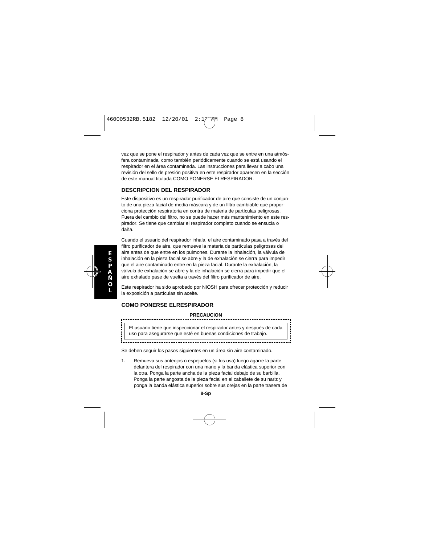vez que se pone el respirador y antes de cada vez que se entre en una atmósfera contaminada, como también periódicamente cuando se está usando el respirador en el área contaminada. Las instrucciones para llevar a cabo una revisión del sello de presión positiva en este respirador aparecen en la sección de este manual titulada COMO PONERSE ELRESPIRADOR.

# **DESCRIPCION DEL RESPIRADOR**

Este dispositivo es un respirador purificador de aire que consiste de un conjunto de una pieza facial de media máscara y de un filtro cambiable que proporciona protección respiratoria en contra de materia de partículas peligrosas. Fuera del cambio del filtro, no se puede hacer más mantenimiento en este respirador. Se tiene que cambiar el respirador completo cuando se ensucia o daña.



Cuando el usuario del respirador inhala, el aire contaminado pasa a través del filtro purificador de aire, que remueve la materia de partículas peligrosas del aire antes de que entre en los pulmones. Durante la inhalación, la válvula de inhalación en la pieza facial se abre y la de exhalación se cierra para impedir que el aire contaminado entre en la pieza facial. Durante la exhalación, la válvula de exhalación se abre y la de inhalación se cierra para impedir que el aire exhalado pase de vuelta a través del filtro purificador de aire.

Este respirador ha sido aprobado por NIOSH para ofrecer protección y reducir la exposición a partículas sin aceite.

# **COMO PONERSE ELRESPIRADOR**

# **PRECAUCION**

El usuario tiene que inspeccionar el respirador antes y después de cada uso para asegurarse que esté en buenas condiciones de trabajo.

Se deben seguir los pasos siguientes en un área sin aire contaminado.

1. Remueva sus anteojos o espejuelos (si los usa) luego agarre la parte delantera del respirador con una mano y la banda elástica superior con la otra. Ponga la parte ancha de la pieza facial debajo de su barbilla. Ponga la parte angosta de la pieza facial en el caballete de su nariz y ponga la banda elástica superior sobre sus orejas en la parte trasera de



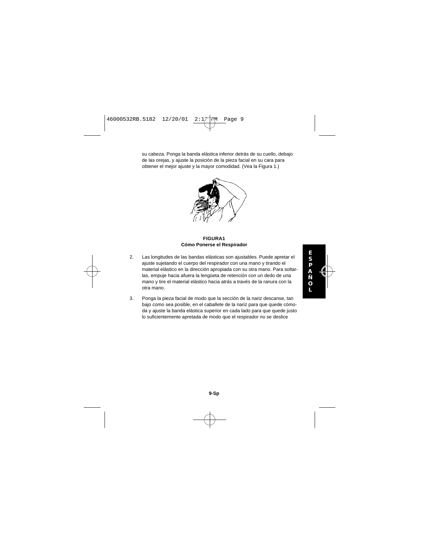su cabeza. Ponga la banda elástica inferior detrás de su cuello, debajo de las orejas, y ajuste la posición de la pieza facial en su cara para obtener el mejor ajuste y la mayor comodidad. (Vea la Figura 1.)



# **FIGURA1 Cómo Ponerse el Respirador**

- 2. Las longitudes de las bandas elásticas son ajustables. Puede apretar el ajuste sujetando el cuerpo del respirador con una mano y tirando el material elástico en la dirección apropiada con su otra mano. Para soltarlas, empuje hacia afuera la lengüeta de retención con un dedo de una mano y tire el material elástico hacia atrás a través de la ranura con la otra mano.
- 3. Ponga la pieza facial de modo que la sección de la nariz descanse, tan bajo como sea posible, en el caballete de la nariz para que quede cómoda y ajuste la banda elástica superior en cada lado para que quede justo lo suficientemente apretada de modo que el respirador no se deslice





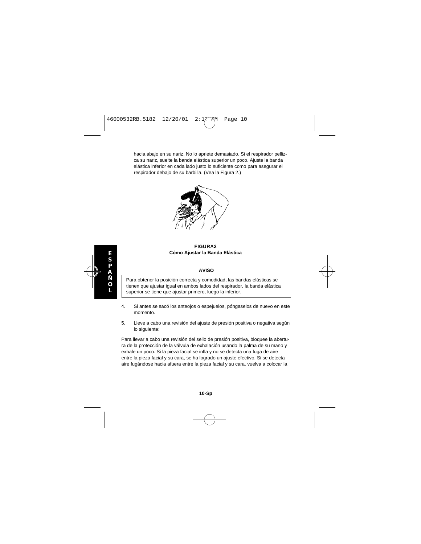hacia abajo en su nariz. No lo apriete demasiado. Si el respirador pellizca su nariz, suelte la banda elástica superior un poco. Ajuste la banda elástica inferior en cada lado justo lo suficiente como para asegurar el respirador debajo de su barbilla. (Vea la Figura 2.)





**FIGURA2 Cómo Ajustar la Banda Elástica**

### **AVISO**

Para obtener la posición correcta y comodidad, las bandas elásticas se tienen que ajustar igual en ambos lados del respirador, la banda elástica superior se tiene que ajustar primero, luego la inferior.

- 4. Si antes se sacó los anteojos o espejuelos, póngaselos de nuevo en este momento.
- 5. Lleve a cabo una revisión del ajuste de presión positiva o negativa según lo siguiente:

Para llevar a cabo una revisión del sello de presión positiva, bloquee la abertura de la protección de la válvula de exhalación usando la palma de su mano y exhale un poco. Si la pieza facial se infla y no se detecta una fuga de aire entre la pieza facial y su cara, se ha logrado un ajuste efectivo. Si se detecta aire fugándose hacia afuera entre la pieza facial y su cara, vuelva a colocar la



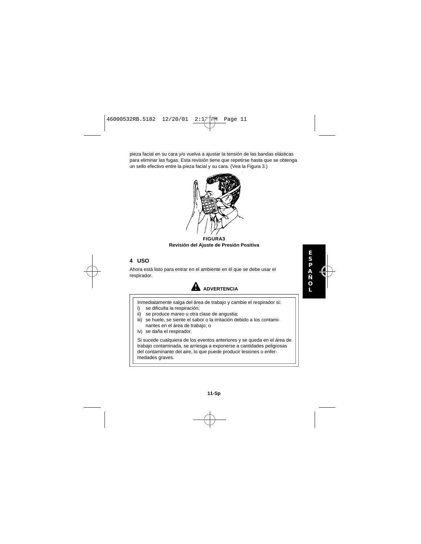pieza facial en su cara y/o vuelva a ajustar la tensión de las bandas elásticas para eliminar las fugas. Esta revisión tiene que repetirse hasta que se obtenga un sello efectivo entre la pieza facial y su cara. (Vea la Figura 3.)



**FIGURA3 Revisión del Ajuste de Presión Positiva**

# **4 USO**

Ahora está listo para entrar en el ambiente en él que se debe usar el respirador.



Inmediatamente salga del área de trabajo y cambie el respirador si:

**ADVERTENCIA** 

- i) se dificulta la respiración;
- ii) se produce mareo u otra clase de angustia;
- iii) se huele, se siente el sabor o la irritación debido a los contaminantes en el área de trabajo; o
- iv) se daña el respirador.

Si sucede cualquiera de los eventos anteriores y se queda en el área de trabajo contaminada, se arriesga a exponerse a cantidades peligrosas del contaminante del aire, lo que puede producir lesiones o enfermedades graves.

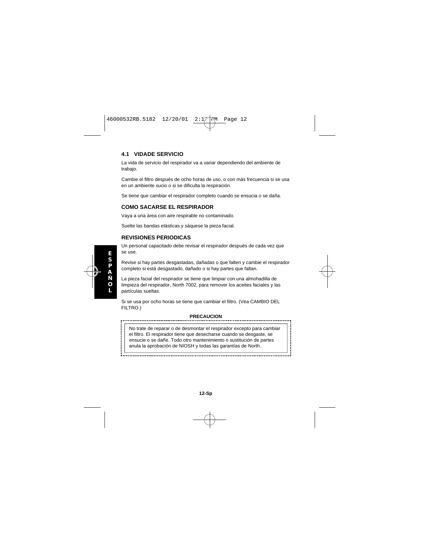# **4.1 VIDADE SERVICIO**

La vida de servicio del respirador va a variar dependiendo del ambiente de trabajo.

Cambie el filtro después de ocho horas de uso, o con más frecuencia si se usa en un ambiente sucio o si se dificulta la respiración.

Se tiene que cambiar el respirador completo cuando se ensucia o se daña.

# **COMO SACARSE EL RESPIRADOR**

Vaya a una área con aire respirable no contaminado.

Suelte las bandas elásticas y sáquese la pieza facial.

# **REVISIONES PERIODICAS**

-----------------------------------

Un personal capacitado debe revisar el respirador después de cada vez que se use.



La pieza facial del respirador se tiene que limpiar con una almohadilla de limpieza del respirador, North 7002, para remover los aceites faciales y las partículas sueltas.

Si se usa por ocho horas se tiene que cambiar el filtro. (Vea CAMBIO DEL FILTRO.)

# **PRECAUCION**

----------------------------------

j

No trate de reparar o de desmontar el respirador excepto para cambiar el filtro. El respirador tiene que desecharse cuando se desgaste, se ensucie o se dañe. Todo otro mantenimiento o sustitución de partes anula la aprobación de NIOSH y todas las garantías de North.



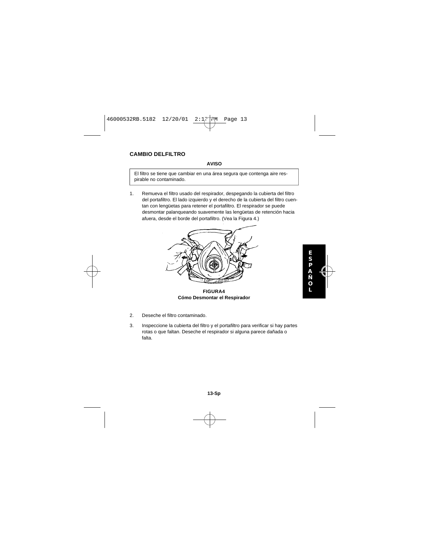# **CAMBIO DELFILTRO**

# **AVISO**

El filtro se tiene que cambiar en una área segura que contenga aire respirable no contaminado.

1. Remueva el filtro usado del respirador, despegando la cubierta del filtro del portafiltro. El lado izquierdo y el derecho de la cubierta del filtro cuentan con lengüetas para retener el portafiltro. El respirador se puede desmontar palanqueando suavemente las lengüetas de retención hacia afuera, desde el borde del portafiltro. (Vea la Figura 4.)







**FIGURA4 Cómo Desmontar el Respirador**

- 2. Deseche el filtro contaminado.
- 3. Inspeccione la cubierta del filtro y el portafiltro para verificar si hay partes rotas o que faltan. Deseche el respirador si alguna parece dañada o falta.

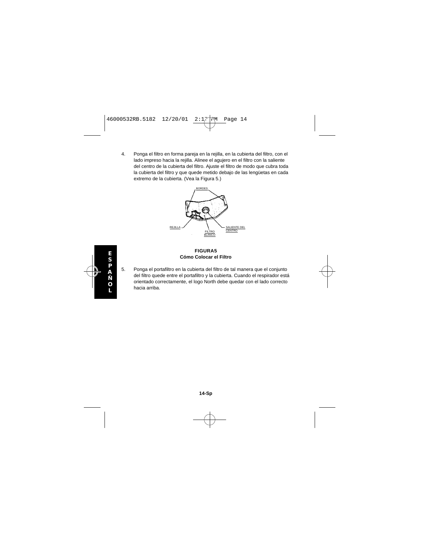4. Ponga el filtro en forma pareja en la rejilla, en la cubierta del filtro, con el lado impreso hacia la rejilla. Alinee el agujero en el filtro con la saliente del centro de la cubierta del filtro. Ajuste el filtro de modo que cubra toda la cubierta del filtro y que quede metido debajo de las lengüetas en cada extremo de la cubierta. (Vea la Figura 5.)





**FIGURA5 Cómo Colocar el Filtro**

5. Ponga el portafiltro en la cubierta del filtro de tal manera que el conjunto del filtro quede entre el portafiltro y la cubierta. Cuando el respirador está orientado correctamente, el logo North debe quedar con el lado correcto hacia arriba.



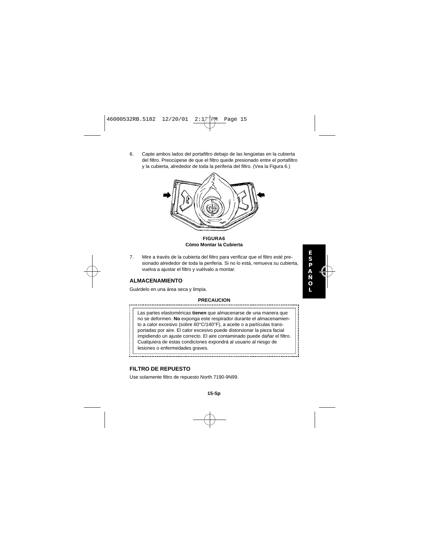6. Capte ambos lados del portafiltro debajo de las lengüetas en la cubierta del filtro. Preocúpese de que el filtro quede presionado entre el portafiltro y la cubierta, alrededor de toda la periferia del filtro. (Vea la Figura 6.)



# **FIGURA6 Cómo Montar la Cubierta**

7. Mire a través de la cubierta del filtro para verificar que el filtro esté presionado alrededor de toda la periferia. Si no lo está, remueva su cubierta, vuelva a ajustar el filtro y vuélvalo a montar.



Guárdelo en una área seca y limpia.

# **PRECAUCION**

Las partes elastoméricas **tienen** que almacenarse de una manera que no se deformen. **No** exponga este respirador durante el almacenamiento a calor excesivo (sobre 60°C/140°F), a aceite o a partículas transportadas por aire. El calor excesivo puede distorsionar la pieza facial impidiendo un ajuste correcto. El aire contaminado puede dañar el filtro. Cualquiera de estas condiciones expondrá al usuario al riesgo de lesiones o enfermedades graves. 

# **FILTRO DE REPUESTO**

Use solamente filtro de repuesto North 7190-9N99.





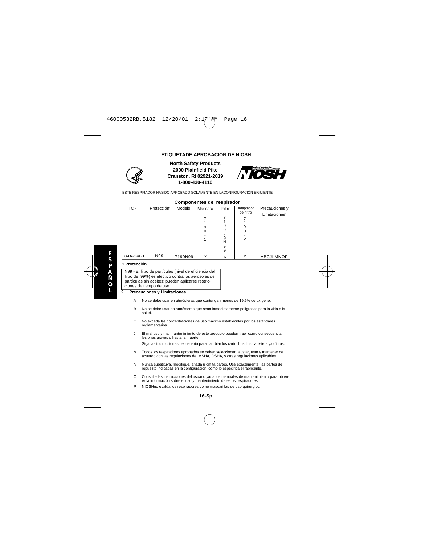# **ETIQUETADE APROBACION DE NIOSH**







ESTE RESPIRADOR HASIDO APROBADO SOLAMENTE EN LACONFIGURACIÓN SIGUIENTE:

| Componentes del respirador |                         |         |         |             |                                 |                           |
|----------------------------|-------------------------|---------|---------|-------------|---------------------------------|---------------------------|
| TC -                       | Protección <sup>1</sup> | Modelo  | Máscara | Filtro      | Adaptador<br>de filtro          | Precauciones y            |
|                            |                         |         |         | 9<br>9<br>9 | 9<br>$\Omega$<br>$\overline{2}$ | Limitaciones <sup>2</sup> |
| 84A-2460                   | N99                     | 7190N99 | x       | x           | x                               | ABCJLMNOP                 |
| 1. Protección              |                         |         |         |             |                                 |                           |



N99 - El filtro de partículas (nivel de eficiencia del filtro de 99%) es efectivo contra los aerosoles de partículas sin aceites; pueden aplicarse restricciones de tiempo de uso

**2. Precauciones y Limitaciones**

A No se debe usar en atmósferas que contengan menos de 19,5% de oxígeno.

- B No se debe usar en atmósferas que sean inmediatamente peligrosas para la vida o la salud.
- C No exceda las concentraciones de uso máximo establecidas por los estándares reglamentarios.
- J El mal uso y mal mantenimiento de este producto pueden traer como consecuencia lesiones graves o hasta la muerte.
- L Siga las instrucciones del usuario para cambiar los cartuchos, los canisters y/o filtros.
- M Todos los respiradores aprobados se deben seleccionar, ajustar, usar y mantener de acuerdo con las regulaciones de MSHA, OSHA, y otras regulaciones aplicables.
- N Nunca substituya, modifique, añada u omita partes. Use exactamente las partes de repuesto indicadas en la configuración, como lo especifica el fabricante.
- O Consulte las instrucciones del usuario y/o a los manuales de mantenimiento para obten-er la información sobre el uso y mantenimiento de estos respiradores.
- P NIOSHno evalúa los respiradores como mascarillas de uso quirúrgico.



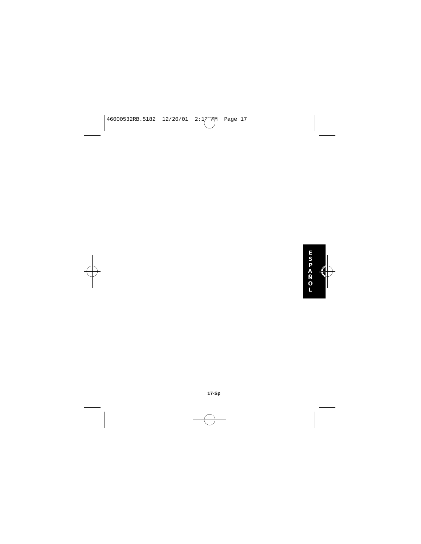

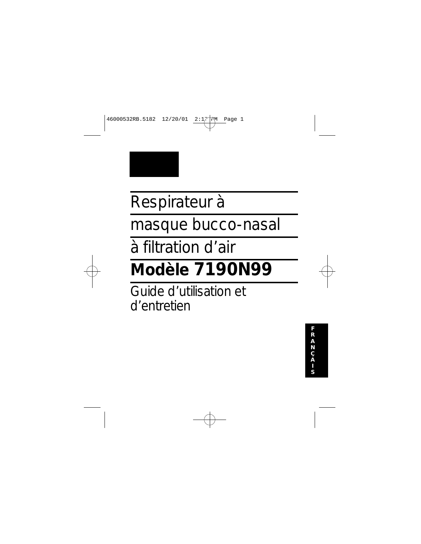

# Respirateur à

# masque bucco-nasal

à filtration d'air



# **Modèle 7 1 9 0 N 9 9**

Guide d'utilisation et d'entretien

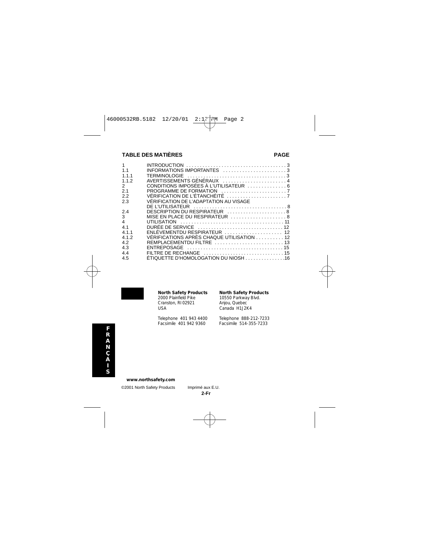# **TABLE DES MATIÈRES PAGE**

| 11<br>111<br>1.1.2<br>2<br>2.1 | INFORMATIONS IMPORTANTES 3<br>AVERTISSEMENTS GÉNÉRAUX 4<br>CONDITIONS IMPOSÉES À L'UTILISATEUR  6 |  |
|--------------------------------|---------------------------------------------------------------------------------------------------|--|
| 2.2                            |                                                                                                   |  |
| 2.3                            | VERIFICATION DE L'ADAPTATION AU VISAGE                                                            |  |
| 2.4                            | DESCRIPTION DU RESPIRATEUR 8                                                                      |  |
| 3                              | MISE EN PLACE DU RESPIRATEUR 8                                                                    |  |
| 4                              |                                                                                                   |  |
| 41                             |                                                                                                   |  |
| 4.1.1                          | ENLÈVEMENTDU RESPIRATEUR  12                                                                      |  |
| 4.1.2                          | VÉRIFICATIONS APRÈS CHAQUE UTILISATION 12                                                         |  |
| 4.2                            | REMPLACEMENTDU FILTRE 13                                                                          |  |
| 4.3                            |                                                                                                   |  |
| 4.4                            |                                                                                                   |  |
| 4.5                            | ETIQUETTE D'HOMOLOGATION DU NIOSH 16                                                              |  |
|                                |                                                                                                   |  |



**North Safety Products**<br>2000 Plainfield Pike<br>Cranston, RI 02921<br>USA

**North Safety Products** 10550 Parkway Blvd. Anjou, Quebec Canada H1J2K4

Telephone 401 943 4400 Facsimile 401 942 9360



Telephone 888-212-7233 Facsimile 514-355-7233

**www.northsafety.com**

©2001 North Safety Products Imprimé aux E.U.

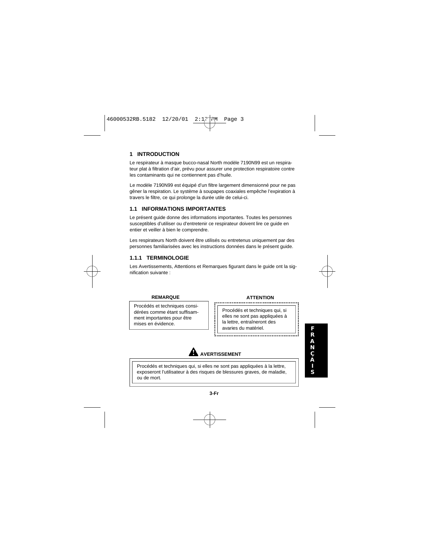# **1 INTRODUCTION**

Le respirateur à masque bucco-nasal North modèle 7190N99 est un respirateur plat à filtration d'air, prévu pour assurer une protection respiratoire contre les contaminants qui ne contiennent pas d'huile.

Le modèle 7190N99 est équipé d'un filtre largement dimensionné pour ne pas gêner la respiration. Le système à soupapes coaxiales empêche l'expiration à travers le filtre, ce qui prolonge la durée utile de celui-ci.

# **1.1 INFORMATIONS IMPORTANTES**

Le présent guide donne des informations importantes. Toutes les personnes susceptibles d'utiliser ou d'entretenir ce respirateur doivent lire ce guide en entier et veiller à bien le comprendre.

Les respirateurs North doivent être utilisés ou entretenus uniquement par des personnes familiarisées avec les instructions données dans le présent guide.

# **1.1.1 TERMINOLOGIE**

Les Avertissements, Attentions et Remarques figurant dans le guide ont la signification suivante :



# **REMARQUE ATTENTION**

Procédés et techniques considérées comme étant suffisamment importantes pour être mises en évidence.

Procédés et techniques qui, si elles ne sont pas appliquées à la lettre, entraîneront des

avaries du matériel. 



Procédés et techniques qui, si elles ne sont pas appliquées à la lettre, exposeront l'utilisateur à des risques de blessures graves, de maladie, ou de mort.

**3-Fr**



# **F R A N Ç A I**

**S**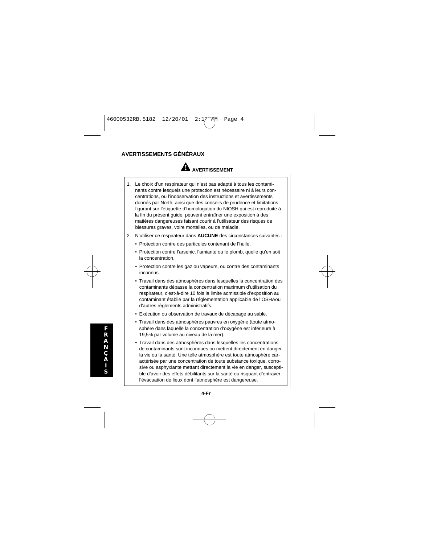# **AVERTISSEMENTS GÉNÉRAUX**

# **AVERTISSEMENT**

- 1. Le choix d'un respirateur qui n'est pas adapté à tous les contaminants contre lesquels une protection est nécessaire ni à leurs concentrations, ou l'inobservation des instructions et avertissements donnés par North, ainsi que des conseils de prudence et limitations figurant sur l'étiquette d'homologation du NIOSH qui est reproduite à la fin du présent guide, peuvent entraîner une exposition à des matières dangereuses faisant courir à l'utilisateur des risques de blessures graves, voire mortelles, ou de maladie.
- 2. N'utiliser ce respirateur dans **AUCUNE** des circonstances suivantes :
	- Protection contre des particules contenant de l'huile.
	- Protection contre l'arsenic, l'amiante ou le plomb, quelle qu'en soit la concentration.
	- Protection contre les gaz ou vapeurs, ou contre des contaminants inconnus.
	- Travail dans des atmosphères dans lesquelles la concentration des contaminants dépasse la concentration maximum d'utilisation du respirateur, c'est-à-dire 10 fois la limite admissible d'exposition au contaminant établie par la réglementation applicable de l'OSHAou d'autres règlements administratifs.
	- Exécution ou observation de travaux de décapage au sable.
	- Travail dans des atmosphères pauvres en oxygène (toute atmosphère dans laquelle la concentration d'oxygène est inférieure à 19,5% par volume au niveau de la mer).
	- Travail dans des atmosphères dans lesquelles les concentrations de contaminants sont inconnues ou mettent directement en danger la vie ou la santé. Une telle atmosphère est toute atmosphère caractérisée par une concentration de toute substance toxique, corrosive ou asphyxiante mettant directement la vie en danger, susceptible d'avoir des effets débilitants sur la santé ou risquant d'entraver l'évacuation de lieux dont l'atmosphère est dangereuse.





**F R A N Ç A I**

**S**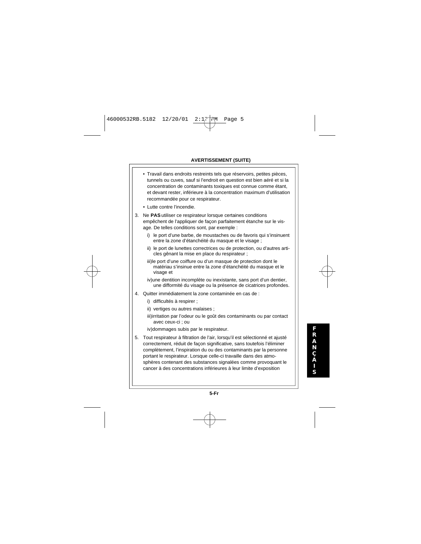# **AVERTISSEMENT (SUITE)**

- Travail dans endroits restreints tels que réservoirs, petites pièces, tunnels ou cuves, sauf si l'endroit en question est bien aéré et si la concentration de contaminants toxiques est connue comme étant, et devant rester, inférieure à la concentration maximum d'utilisation recommandée pour ce respirateur.
- Lutte contre l'incendie.
- 3. Ne **PAS** utiliser ce respirateur lorsque certaines conditions empêchent de l'appliquer de façon parfaitement étanche sur le visage. De telles conditions sont, par exemple :
	- i) le port d'une barbe, de moustaches ou de favoris qui s'insinuent entre la zone d'étanchéité du masque et le visage ;
	- ii) le port de lunettes correctrices ou de protection, ou d'autres articles gênant la mise en place du respirateur ;
	- iii)le port d'une coiffure ou d'un masque de protection dont le matériau s'insinue entre la zone d'étanchéité du masque et le visage et
	- iv)une dentition incomplète ou inexistante, sans port d'un dentier, une difformité du visage ou la présence de cicatrices profondes.
- 4. Quitter immédiatement la zone contaminée en cas de :
	- i) difficultés à respirer ;
	- ii) vertiges ou autres malaises ;
	- iii)irritation par l'odeur ou le goût des contaminants ou par contact avec ceux-ci ; ou
	- iv)dommages subis par le respirateur.
- 5. Tout respirateur à filtration de l'air, lorsqu'il est sélectionné et ajusté correctement, réduit de façon significative, sans toutefois l'éliminer complètement, l'inspiration du ou des contaminants par la personne portant le respirateur. Lorsque celle-ci travaille dans des atmosphères contenant des substances signalées comme provoquant le cancer à des concentrations inférieures à leur limite d'exposition



**F R A N Ç A I S**



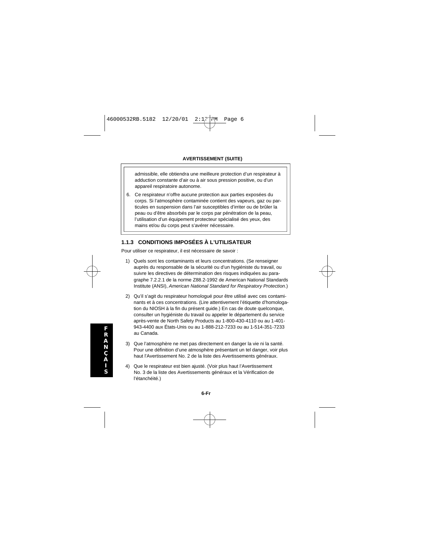# **AVERTISSEMENT (SUITE)**

admissible, elle obtiendra une meilleure protection d'un respirateur à adduction constante d'air ou à air sous pression positive, ou d'un appareil respiratoire autonome.

6. Ce respirateur n'offre aucune protection aux parties exposées du corps. Si l'atmosphère contaminée contient des vapeurs, gaz ou particules en suspension dans l'air susceptibles d'irriter ou de brûler la peau ou d'être absorbés par le corps par pénétration de la peau, l'utilisation d'un équipement protecteur spécialisé des yeux, des mains et/ou du corps peut s'avérer nécessaire.

# **1.1.3 CONDITIONS IMPOSÉES À L'UTILISATEUR**

Pour utiliser ce respirateur, il est nécessaire de savoir :

- 1) Quels sont les contaminants et leurs concentrations. (Se renseigner auprès du responsable de la sécurité ou d'un hygiéniste du travail, ou suivre les directives de détermination des risques indiquées au paragraphe 7.2.2.1 de la norme Z88.2-1992 de American National Standards Institute (ANSI), *American National Standard for Respiratory Protection*.)
- 2) Qu'il s'agit du respirateur homologué pour être utilisé avec ces contaminants et à ces concentrations. (Lire attentivement l'étiquette d'homologation du NIOSH à la fin du présent guide.) En cas de doute quelconque, consulter un hygiéniste du travail ou appeler le département du service après-vente de North Safety Products au 1-800-430-4110 ou au 1-401- 943-4400 aux États-Unis ou au 1-888-212-7233 ou au 1-514-351-7233 au Canada.
- **F R A N Ç A I S**
- 3) Que l'atmosphère ne met pas directement en danger la vie ni la santé. Pour une définition d'une atmosphère présentant un tel danger, voir plus haut l'Avertissement No. 2 de la liste des Avertissements généraux.
- 4) Que le respirateur est bien ajusté. (Voir plus haut l'Avertissement No. 3 de la liste des Avertissements généraux et la Vérification de l'étanchéité.)



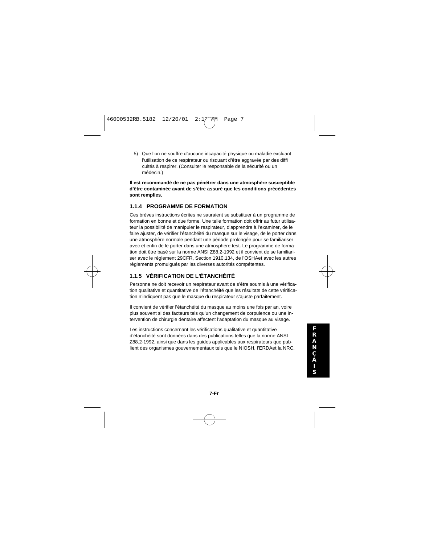5) Que l'on ne souffre d'aucune incapacité physique ou maladie excluant l'utilisation de ce respirateur ou risquant d'être aggravée par des diffi cultés à respirer. (Consulter le responsable de la sécurité ou un médecin.)

**Il est recommandé de ne pas pénétrer dans une atmosphère susceptible d'être contaminée avant de s'être assuré que les conditions précédentes sont remplies.**

# **1.1.4 PROGRAMME DE FORMATION**

Ces brèves instructions écrites ne sauraient se substituer à un programme de formation en bonne et due forme. Une telle formation doit offrir au futur utilisateur la possibilité de manipuler le respirateur, d'apprendre à l'examiner, de le faire ajuster, de vérifier l'étanchéité du masque sur le visage, de le porter dans une atmosphère normale pendant une période prolongée pour se familiariser avec et enfin de le porter dans une atmosphère test. Le programme de formation doit être basé sur la norme ANSI Z88.2-1992 et il convient de se familiariser avec le règlement 29CFR, Section 1910.134, de l'OSHAet avec les autres règlements promulgués par les diverses autorités compétentes.

# **1.1.5 VÉRIFICATION DE L'ÉTANCHÉITÉ**

Personne ne doit recevoir un respirateur avant de s'être soumis à une vérification qualitative et quantitative de l'étanchéité que les résultats de cette vérification n'indiquent pas que le masque du respirateur s'ajuste parfaitement.

Il convient de vérifier l'étanchéité du masque au moins une fois par an, voire plus souvent si des facteurs tels qu'un changement de corpulence ou une intervention de chirurgie dentaire affectent l'adaptation du masque au visage.

Les instructions concernant les vérifications qualitative et quantitative d'étanchéité sont données dans des publications telles que la norme ANSI Z88.2-1992, ainsi que dans les guides applicables aux respirateurs que publient des organismes gouvernementaux tels que le NIOSH, l'ERDAet la NRC.



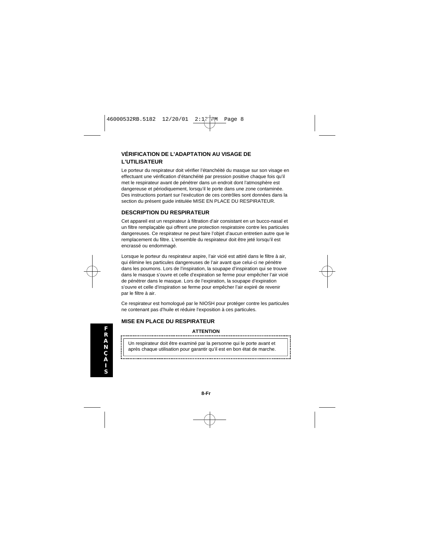# **VÉRIFICATION DE L'ADAPTATION AU VISAGE DE L'UTILISATEUR**

Le porteur du respirateur doit vérifier l'étanchéité du masque sur son visage en effectuant une vérification d'étanchéité par pression positive chaque fois qu'il met le respirateur avant de pénétrer dans un endroit dont l'atmosphère est dangereuse et périodiquement, lorsqu'il le porte dans une zone contaminée. Des instructions portant sur l'exécution de ces contrôles sont données dans la section du présent guide intitulée MISE EN PLACE DU RESPIRATEUR.

# **DESCRIPTION DU RESPIRATEUR**

Cet appareil est un respirateur à filtration d'air consistant en un bucco-nasal et un filtre remplaçable qui offrent une protection respiratoire contre les particules dangereuses. Ce respirateur ne peut faire l'objet d'aucun entretien autre que le remplacement du filtre. L'ensemble du respirateur doit être jeté lorsqu'il est encrassé ou endommagé.

Lorsque le porteur du respirateur aspire, l'air vicié est attiré dans le filtre à air, qui élimine les particules dangereuses de l'air avant que celui-ci ne pénètre dans les poumons. Lors de l'inspiration, la soupape d'inspiration qui se trouve dans le masque s'ouvre et celle d'expiration se ferme pour empêcher l'air vicié de pénétrer dans le masque. Lors de l'expiration, la soupape d'expiration s'ouvre et celle d'inspiration se ferme pour empêcher l'air expiré de revenir par le filtre à air.

Ce respirateur est homologué par le NIOSH pour protéger contre les particules ne contenant pas d'huile et réduire l'exposition à ces particules.

# **MISE EN PLACE DU RESPIRATEUR**

**F R A N Ç A I S**

Un respirateur doit être examiné par la personne qui le porte avant et après chaque utilisation pour garantir qu'il est en bon état de marche. **ATTENTION**



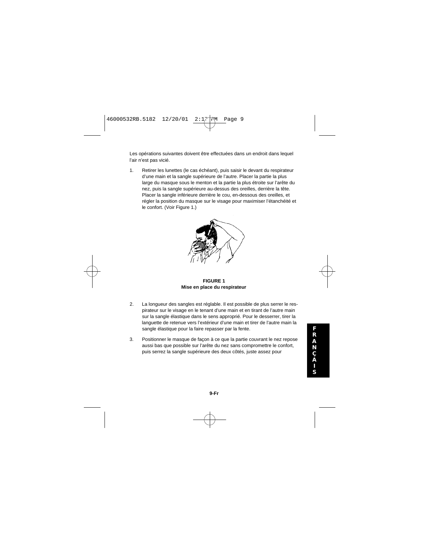Les opérations suivantes doivent être effectuées dans un endroit dans lequel l'air n'est pas vicié.

1. Retirer les lunettes (le cas échéant), puis saisir le devant du respirateur d'une main et la sangle supérieure de l'autre. Placer la partie la plus large du masque sous le menton et la partie la plus étroite sur l'arête du nez, puis la sangle supérieure au-dessus des oreilles, derrière la tête. Placer la sangle inférieure derrière le cou, en-dessous des oreilles, et régler la position du masque sur le visage pour maximiser l'étanchéité et le confort. (Voir Figure 1.)



# **FIGURE 1 Mise en place du respirateur**

- 2. La longueur des sangles est réglable. Il est possible de plus serrer le respirateur sur le visage en le tenant d'une main et en tirant de l'autre main sur la sangle élastique dans le sens approprié. Pour le desserrer, tirer la languette de retenue vers l'extérieur d'une main et tirer de l'autre main la sangle élastique pour la faire repasser par la fente.
- 3. Positionner le masque de façon à ce que la partie couvrant le nez repose aussi bas que possible sur l'arête du nez sans compromettre le confort, puis serrez la sangle supérieure des deux côtés, juste assez pour



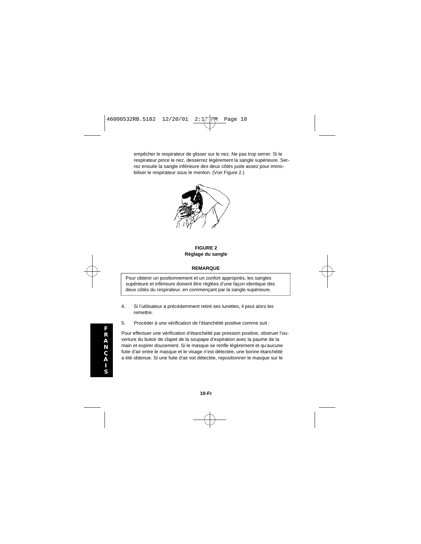empêcher le respirateur de glisser sur le nez. Ne pas trop serrer. Si le respirateur pince le nez, desserrez légèrement la sangle supérieure. Serrez ensuite la sangle inférieure des deux côtés juste assez pour immobiliser le respirateur sous le menton. (Voir Figure 2.)



# **FIGURE 2 Réglage du sangle**

# **REMARQUE**

Pour obtenir un positionnement et un confort appropriés, les sangles supérieure et inférieure doivent être réglées d'une façon identique des deux côtés du respirateur, en commençant par la sangle supérieure.

4. Si l'utilisateur a précédemment retiré ses lunettes, il peut alors les remettre.





Pour effectuer une vérification d'étanchéité par pression positive, obstruer l'ouverture du butoir de clapet de la soupape d'expiration avec la paume de la main et expirer doucement. Si le masque se renfle légèrement et qu'aucune fuite d'air entre le masque et le visage n'est détectée, une bonne étanchéité a été obtenue. Si une fuite d'air est détectée, repositionner le masque sur le

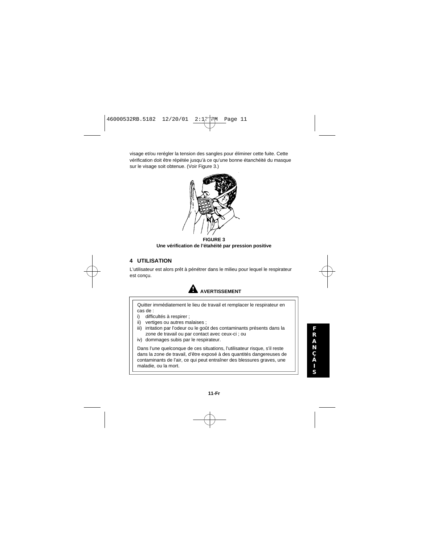visage et/ou rerégler la tension des sangles pour éliminer cette fuite. Cette vérification doit être répétée jusqu'à ce qu'une bonne étanchéité du masque sur le visage soit obtenue. (Voir Figure 3.)



**FIGURE 3 Une vérification de l'étahéité par pression positive**

# **4 UTILISATION**

L'utilisateur est alors prêt à pénétrer dans le milieu pour lequel le respirateur est conçu.





Quitter immédiatement le lieu de travail et remplacer le respirateur en cas de :

- i) difficultés à respirer ;
- ii) vertiges ou autres malaises ;
- iii) irritation par l'odeur ou le goût des contaminants présents dans la zone de travail ou par contact avec ceux-ci ; ou
- iv) dommages subis par le respirateur.

Dans l'une quelconque de ces situations, l'utilisateur risque, s'il reste dans la zone de travail, d'être exposé à des quantités dangereuses de contaminants de l'air, ce qui peut entraîner des blessures graves, une maladie, ou la mort.



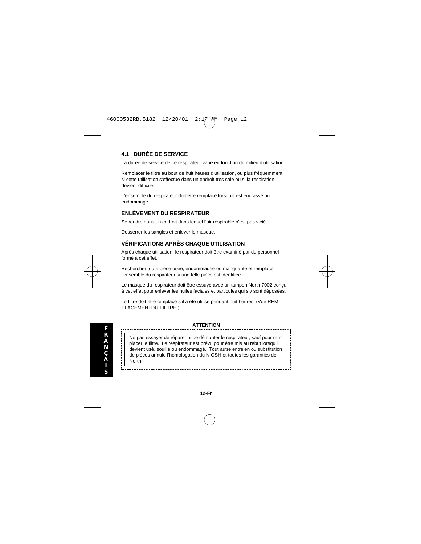# **4.1 DURÉE DE SERVICE**

La durée de service de ce respirateur varie en fonction du milieu d'utilisation.

Remplacer le filtre au bout de huit heures d'utilisation, ou plus fréquemment si cette utilisation s'effectue dans un endroit très sale ou si la respiration devient difficile.

L'ensemble du respirateur doit être remplacé lorsqu'il est encrassé ou endommagé.

# **ENLÈVEMENT DU RESPIRATEUR**

Se rendre dans un endroit dans lequel l'air respirable n'est pas vicié.

Desserrer les sangles et enlever le masque.

# **VÉRIFICATIONS APRÈS CHAQUE UTILISATION**

Après chaque utilisation, le respirateur doit être examiné par du personnel formé à cet effet.

Rechercher toute pièce usée, endommagée ou manquante et remplacer l'ensemble du respirateur si une telle pièce est identifiée.

Le masque du respirateur doit être essuyé avec un tampon North 7002 conçu à cet effet pour enlever les huiles faciales et particules qui s'y sont déposées.

Le filtre doit être remplacé s'il a été utilisé pendant huit heures. (Voir REM-PLACEMENTDU FILTRE.)



# **ATTENTION**

Ne pas essayer de réparer ni de démonter le respirateur, sauf pour remplacer le filtre. Le respirateur est prévu pour être mis au rebut lorsqu'il devient usé, souillé ou endommagé. Tout autre entreien ou substitution de pièces annule l'homologation du NIOSH et toutes les garanties de North.

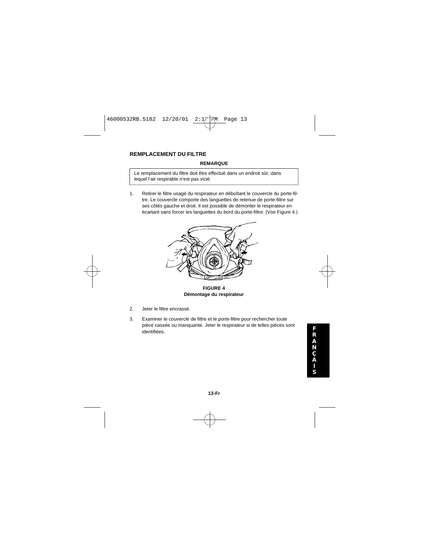# **REMPLACEMENT DU FILTRE**

# **REMARQUE**

Le remplacement du filtre doit être effectué dans un endroit sûr, dans lequel l'air respirable n'est pas vicié.

1. Retirer le filtre usagé du respirateur en déboîtant le couvercle du porte-filtre. Le couvercle comporte des languettes de retenue de porte-filtre sur ses côtés gauche et droit. Il est possible de démonter le respirateur en écartant sans forcer les languettes du bord du porte-filtre. (Voir Figure 4.)





**FIGURE 4 Démontage du respirateur**

- 2. Jeter le filtre encrassé.
- 3. Examiner le couvercle de filtre et le porte-filtre pour rechercher toute pièce cassée ou manquante. Jeter le respirateur si de telles pièces sont identifiées. **F**



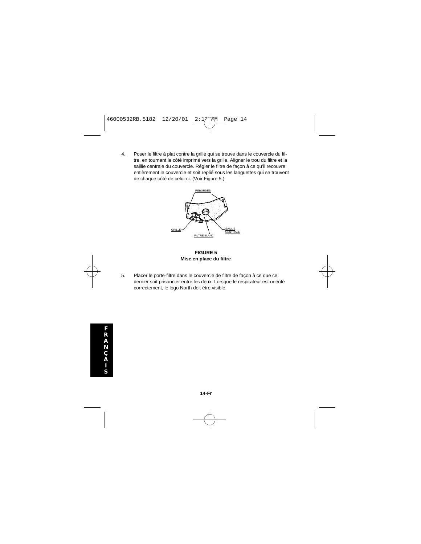4. Poser le filtre à plat contre la grille qui se trouve dans le couvercle du filtre, en tournant le côté imprimé vers la grille. Aligner le trou du filtre et la saillie centrale du couvercle. Régler le filtre de façon à ce qu'il recouvre entièrement le couvercle et soit replié sous les languettes qui se trouvent de chaque côté de celui-ci. (Voir Figure 5.)



# **FIGURE 5 Mise en place du filtre**

5. Placer le porte-filtre dans le couvercle de filtre de façon à ce que ce dernier soit prisonnier entre les deux. Lorsque le respirateur est orienté correctement, le logo North doit être visible.



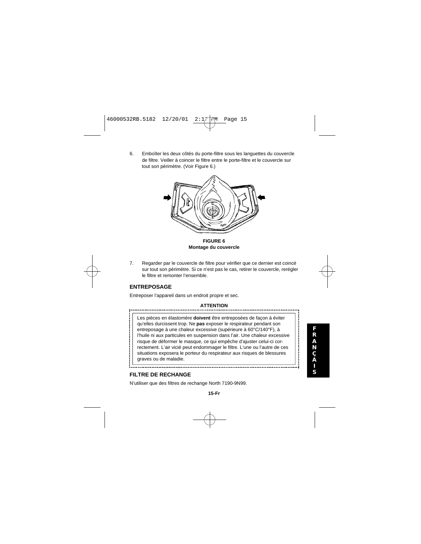6. Emboîter les deux côtés du porte-filtre sous les languettes du couvercle de filtre. Veiller à coincer le filtre entre le porte-filtre et le couvercle sur tout son périmètre. (Voir Figure 6.)



**Montage du couvercle**

7. Regarder par le couvercle de filtre pour vérifier que ce dernier est coincé sur tout son périmètre. Si ce n'est pas le cas, retirer le couvercle, rerégler le filtre et remonter l'ensemble.



**F R A N Ç A I S**

# **ENTREPOSAGE**

Entreposer l'appareil dans un endroit propre et sec.

# **ATTENTION**

Les pièces en élastomère **doivent** être entreposées de façon à éviter qu'elles durcissent trop. Ne **pas** exposer le respirateur pendant son entreposage à une chaleur excessive (supérieure à 60°C/140°F), à l'huile ni aux particules en suspension dans l'air. Une chaleur excessive risque de déformer le masque, ce qui empêche d'ajuster celui-ci correctement. L'air vicié peut endommager le filtre. L'une ou l'autre de ces situations exposera le porteur du respirateur aux risques de blessures graves ou de maladie.



N'utiliser que des filtres de rechange North 7190-9N99.



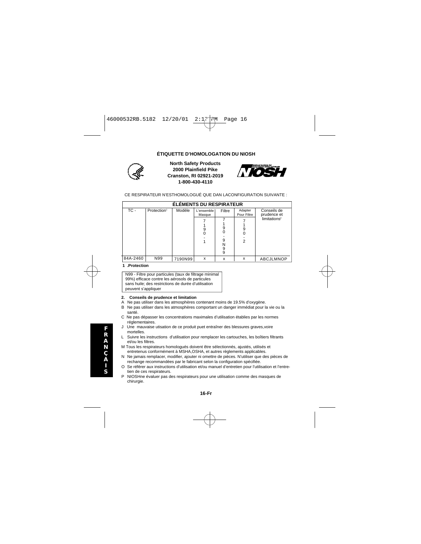# **ÉTIQUETTE D'HOMOLOGATION DU NIOSH**







CE RESPIRATEUR N'ESTHOMOLOGUÉ QUE DAN LACONFIGURATION SUIVANTE :

| ÉLÉMENTS DU RESPIRATEUR |                         |         |                      |                                   |                        |                            |  |
|-------------------------|-------------------------|---------|----------------------|-----------------------------------|------------------------|----------------------------|--|
| TC -                    | Protection <sup>1</sup> | Modèle  | L'ensemble<br>Masque | Filtre                            | Adapter<br>Pour Filtre | Conseils de<br>prudence et |  |
|                         |                         |         | 9                    | 9<br>$\Omega$<br>9<br>N<br>9<br>9 | $\mathfrak{p}$         | limitations <sup>2</sup>   |  |
| 84A-2460                | N99                     | 7190N99 | x                    | x                                 | X                      | ABCJLMNOP                  |  |

### **1 .Protection**

N99 - Filtre pour particules (taux de filtrage minimal

99%) efficace contre les aérosols de particules

sans huile; des restrictions de durée d'utilisation peuvent s'appliquer

# **2. Conseils de prudence et limitation**

- A Ne pas utiliser dans les atmosphères contenant moins de 19.5% d'oxygène. B Ne pas utiliser dans les atmosphères comportant un danger immédiat pour la vie ou la
- santé.
- C Ne pas dépasser les concentrations maximales d'utilisation établies par les normes réglementaires.
- J Une mauvaise utisation de ce produit puet entraîner des blessures graves,voire
- mortelles. L Suivre les instructions d'utilisation pour remplacer les cartouches, les boîtiers filtrants
- et/ou les filtres. M Tous les respirateurs homologués doivent être sélectionnés, ajustés, utilisés et
- entretenus conformément à MSHA,OSHA, et autres règlements applicables.
- N Ne jamais remplacer, modifier, ajouter ni omettre de pièces. N'utiliser que des pièces de
- rechange recommandées par le fabricant selon la configuration spécifiée. O Se référer aux instructions d'utilisation et/ou manuel d'entretien pour l'utilisation et l'entretien de ces respirateurs.
- P NIOSHne évaluer pas des respirateurs pour une utilisation comme des masques de chirurgie.





**F R A N Ç A I S**